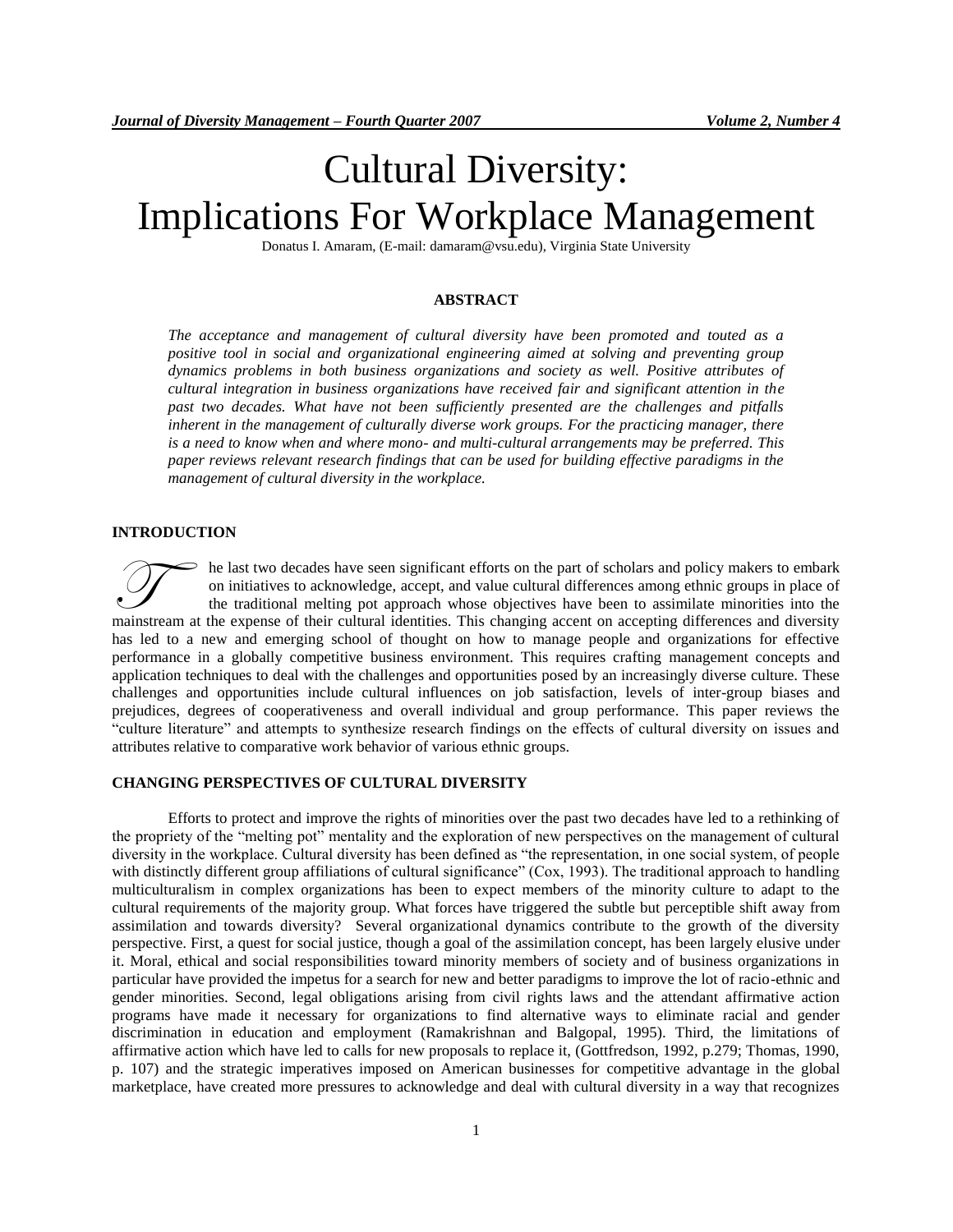# Cultural Diversity: Implications For Workplace Management

Donatus I. Amaram, (E-mail: damaram@vsu.edu), Virginia State University

#### **ABSTRACT**

*The acceptance and management of cultural diversity have been promoted and touted as a positive tool in social and organizational engineering aimed at solving and preventing group dynamics problems in both business organizations and society as well. Positive attributes of cultural integration in business organizations have received fair and significant attention in the past two decades. What have not been sufficiently presented are the challenges and pitfalls inherent in the management of culturally diverse work groups. For the practicing manager, there is a need to know when and where mono- and multi-cultural arrangements may be preferred. This paper reviews relevant research findings that can be used for building effective paradigms in the management of cultural diversity in the workplace.*

#### **INTRODUCTION**

he last two decades have seen significant efforts on the part of scholars and policy makers to embark on initiatives to acknowledge, accept, and value cultural differences among ethnic groups in place of the traditional melting pot approach whose objectives have been to assimilate minorities into the The last two decades have seen significant efforts on the part of scholars and policy makers to embark<br>on initiatives to acknowledge, accept, and value cultural differences among ethnic groups in place of<br>the traditional m has led to a new and emerging school of thought on how to manage people and organizations for effective performance in a globally competitive business environment. This requires crafting management concepts and application techniques to deal with the challenges and opportunities posed by an increasingly diverse culture. These challenges and opportunities include cultural influences on job satisfaction, levels of inter-group biases and prejudices, degrees of cooperativeness and overall individual and group performance. This paper reviews the "culture literature" and attempts to synthesize research findings on the effects of cultural diversity on issues and attributes relative to comparative work behavior of various ethnic groups.

## **CHANGING PERSPECTIVES OF CULTURAL DIVERSITY**

Efforts to protect and improve the rights of minorities over the past two decades have led to a rethinking of the propriety of the "melting pot" mentality and the exploration of new perspectives on the management of cultural diversity in the workplace. Cultural diversity has been defined as "the representation, in one social system, of people with distinctly different group affiliations of cultural significance" (Cox, 1993). The traditional approach to handling multiculturalism in complex organizations has been to expect members of the minority culture to adapt to the cultural requirements of the majority group. What forces have triggered the subtle but perceptible shift away from assimilation and towards diversity? Several organizational dynamics contribute to the growth of the diversity perspective. First, a quest for social justice, though a goal of the assimilation concept, has been largely elusive under it. Moral, ethical and social responsibilities toward minority members of society and of business organizations in particular have provided the impetus for a search for new and better paradigms to improve the lot of racio-ethnic and gender minorities. Second, legal obligations arising from civil rights laws and the attendant affirmative action programs have made it necessary for organizations to find alternative ways to eliminate racial and gender discrimination in education and employment (Ramakrishnan and Balgopal, 1995). Third, the limitations of affirmative action which have led to calls for new proposals to replace it, (Gottfredson, 1992, p.279; Thomas, 1990, p. 107) and the strategic imperatives imposed on American businesses for competitive advantage in the global marketplace, have created more pressures to acknowledge and deal with cultural diversity in a way that recognizes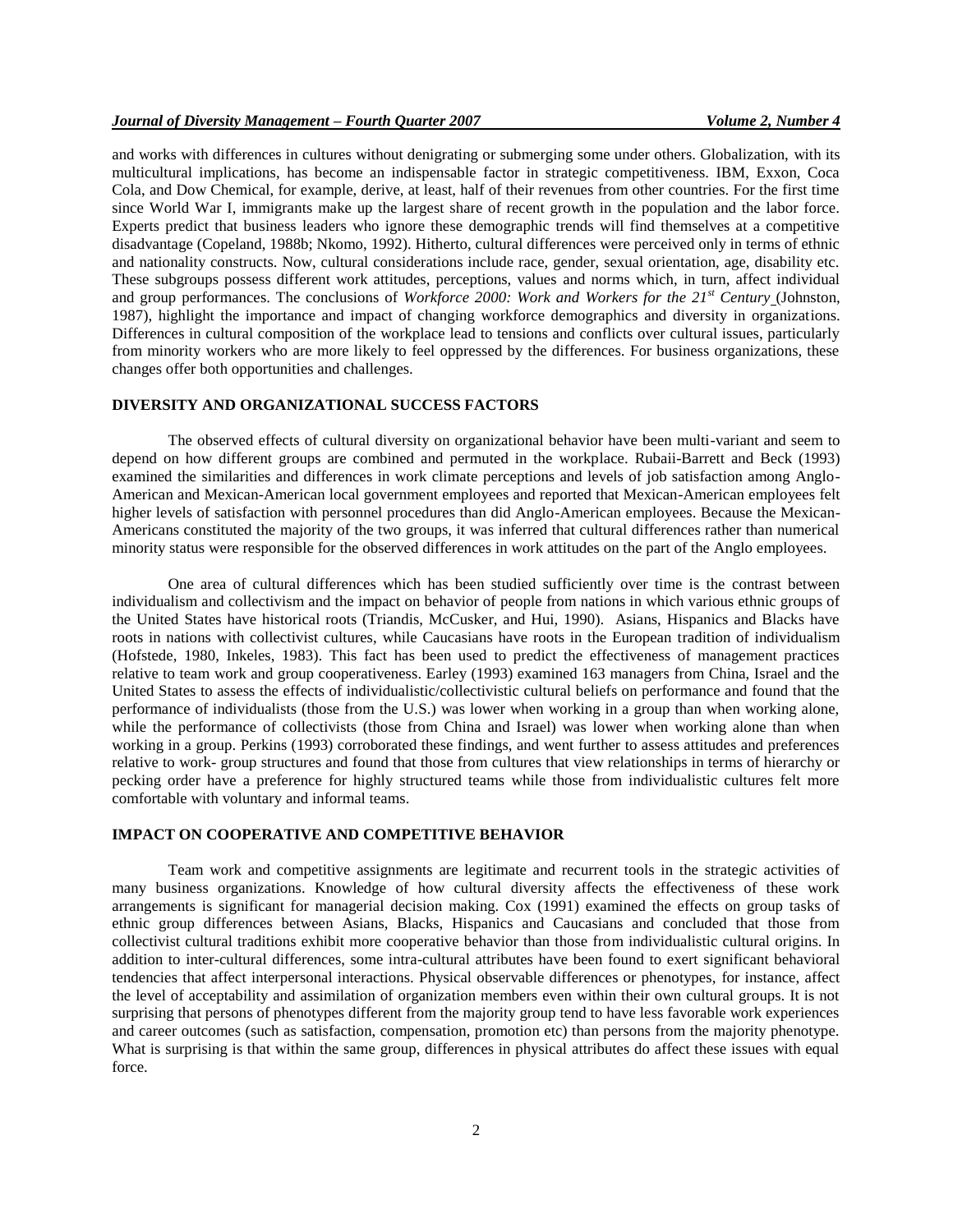and works with differences in cultures without denigrating or submerging some under others. Globalization, with its multicultural implications, has become an indispensable factor in strategic competitiveness. IBM, Exxon, Coca Cola, and Dow Chemical, for example, derive, at least, half of their revenues from other countries. For the first time since World War I, immigrants make up the largest share of recent growth in the population and the labor force. Experts predict that business leaders who ignore these demographic trends will find themselves at a competitive disadvantage (Copeland, 1988b; Nkomo, 1992). Hitherto, cultural differences were perceived only in terms of ethnic and nationality constructs. Now, cultural considerations include race, gender, sexual orientation, age, disability etc. These subgroups possess different work attitudes, perceptions, values and norms which, in turn, affect individual and group performances. The conclusions of *Workforce 2000: Work and Workers for the 21st Century* (Johnston, 1987), highlight the importance and impact of changing workforce demographics and diversity in organizations. Differences in cultural composition of the workplace lead to tensions and conflicts over cultural issues, particularly from minority workers who are more likely to feel oppressed by the differences. For business organizations, these changes offer both opportunities and challenges.

#### **DIVERSITY AND ORGANIZATIONAL SUCCESS FACTORS**

The observed effects of cultural diversity on organizational behavior have been multi-variant and seem to depend on how different groups are combined and permuted in the workplace. Rubaii-Barrett and Beck (1993) examined the similarities and differences in work climate perceptions and levels of job satisfaction among Anglo-American and Mexican-American local government employees and reported that Mexican-American employees felt higher levels of satisfaction with personnel procedures than did Anglo-American employees. Because the Mexican-Americans constituted the majority of the two groups, it was inferred that cultural differences rather than numerical minority status were responsible for the observed differences in work attitudes on the part of the Anglo employees.

One area of cultural differences which has been studied sufficiently over time is the contrast between individualism and collectivism and the impact on behavior of people from nations in which various ethnic groups of the United States have historical roots (Triandis, McCusker, and Hui, 1990). Asians, Hispanics and Blacks have roots in nations with collectivist cultures, while Caucasians have roots in the European tradition of individualism (Hofstede, 1980, Inkeles, 1983). This fact has been used to predict the effectiveness of management practices relative to team work and group cooperativeness. Earley (1993) examined 163 managers from China, Israel and the United States to assess the effects of individualistic/collectivistic cultural beliefs on performance and found that the performance of individualists (those from the U.S.) was lower when working in a group than when working alone, while the performance of collectivists (those from China and Israel) was lower when working alone than when working in a group. Perkins (1993) corroborated these findings, and went further to assess attitudes and preferences relative to work- group structures and found that those from cultures that view relationships in terms of hierarchy or pecking order have a preference for highly structured teams while those from individualistic cultures felt more comfortable with voluntary and informal teams.

# **IMPACT ON COOPERATIVE AND COMPETITIVE BEHAVIOR**

Team work and competitive assignments are legitimate and recurrent tools in the strategic activities of many business organizations. Knowledge of how cultural diversity affects the effectiveness of these work arrangements is significant for managerial decision making. Cox (1991) examined the effects on group tasks of ethnic group differences between Asians, Blacks, Hispanics and Caucasians and concluded that those from collectivist cultural traditions exhibit more cooperative behavior than those from individualistic cultural origins. In addition to inter-cultural differences, some intra-cultural attributes have been found to exert significant behavioral tendencies that affect interpersonal interactions. Physical observable differences or phenotypes, for instance, affect the level of acceptability and assimilation of organization members even within their own cultural groups. It is not surprising that persons of phenotypes different from the majority group tend to have less favorable work experiences and career outcomes (such as satisfaction, compensation, promotion etc) than persons from the majority phenotype. What is surprising is that within the same group, differences in physical attributes do affect these issues with equal force.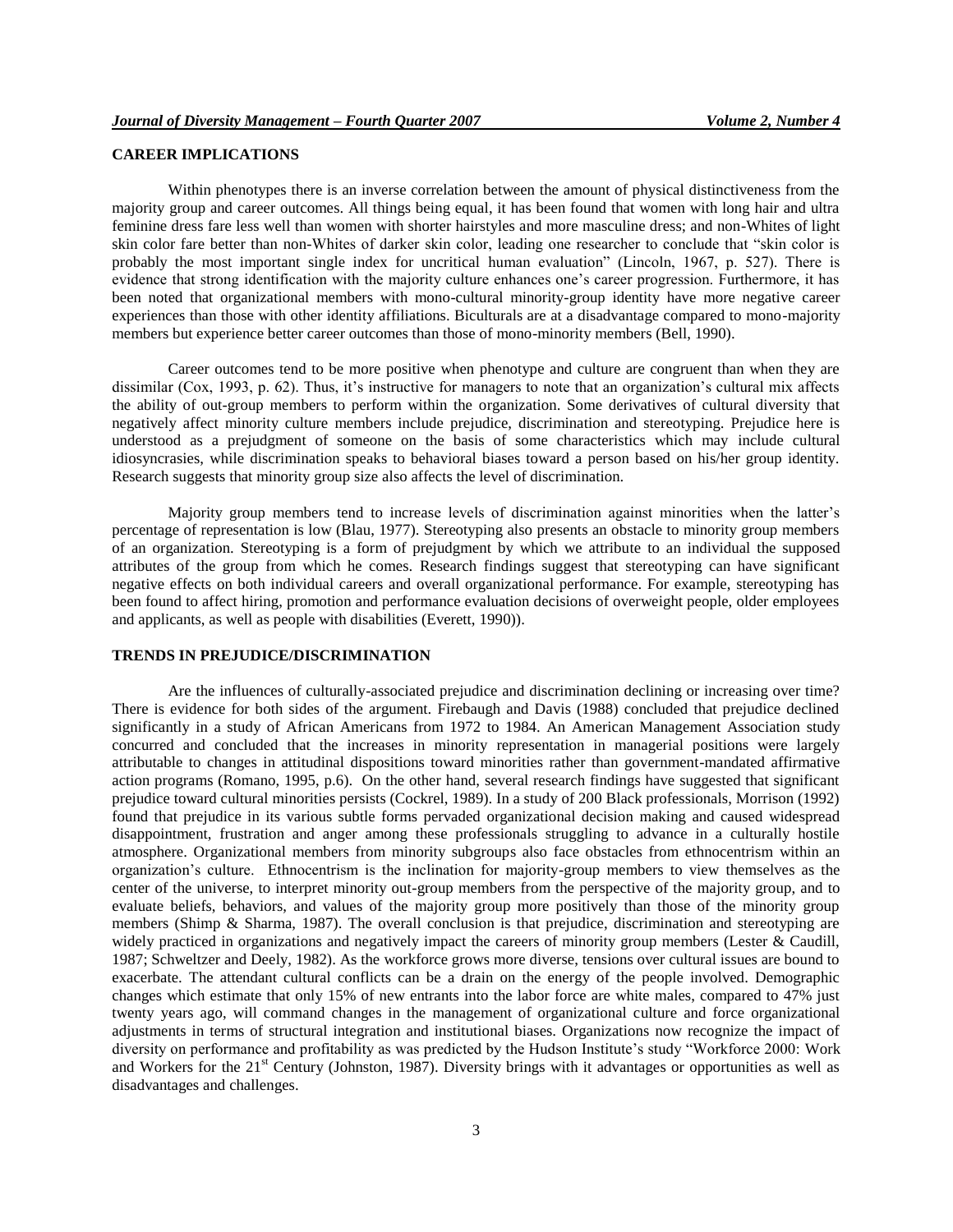# **CAREER IMPLICATIONS**

Within phenotypes there is an inverse correlation between the amount of physical distinctiveness from the majority group and career outcomes. All things being equal, it has been found that women with long hair and ultra feminine dress fare less well than women with shorter hairstyles and more masculine dress; and non-Whites of light skin color fare better than non-Whites of darker skin color, leading one researcher to conclude that "skin color is probably the most important single index for uncritical human evaluation" (Lincoln, 1967, p. 527). There is evidence that strong identification with the majority culture enhances one's career progression. Furthermore, it has been noted that organizational members with mono-cultural minority-group identity have more negative career experiences than those with other identity affiliations. Biculturals are at a disadvantage compared to mono-majority members but experience better career outcomes than those of mono-minority members (Bell, 1990).

Career outcomes tend to be more positive when phenotype and culture are congruent than when they are dissimilar (Cox, 1993, p. 62). Thus, it's instructive for managers to note that an organization's cultural mix affects the ability of out-group members to perform within the organization. Some derivatives of cultural diversity that negatively affect minority culture members include prejudice, discrimination and stereotyping. Prejudice here is understood as a prejudgment of someone on the basis of some characteristics which may include cultural idiosyncrasies, while discrimination speaks to behavioral biases toward a person based on his/her group identity. Research suggests that minority group size also affects the level of discrimination.

Majority group members tend to increase levels of discrimination against minorities when the latter's percentage of representation is low (Blau, 1977). Stereotyping also presents an obstacle to minority group members of an organization. Stereotyping is a form of prejudgment by which we attribute to an individual the supposed attributes of the group from which he comes. Research findings suggest that stereotyping can have significant negative effects on both individual careers and overall organizational performance. For example, stereotyping has been found to affect hiring, promotion and performance evaluation decisions of overweight people, older employees and applicants, as well as people with disabilities (Everett, 1990)).

## **TRENDS IN PREJUDICE/DISCRIMINATION**

Are the influences of culturally-associated prejudice and discrimination declining or increasing over time? There is evidence for both sides of the argument. Firebaugh and Davis (1988) concluded that prejudice declined significantly in a study of African Americans from 1972 to 1984. An American Management Association study concurred and concluded that the increases in minority representation in managerial positions were largely attributable to changes in attitudinal dispositions toward minorities rather than government-mandated affirmative action programs (Romano, 1995, p.6). On the other hand, several research findings have suggested that significant prejudice toward cultural minorities persists (Cockrel, 1989). In a study of 200 Black professionals, Morrison (1992) found that prejudice in its various subtle forms pervaded organizational decision making and caused widespread disappointment, frustration and anger among these professionals struggling to advance in a culturally hostile atmosphere. Organizational members from minority subgroups also face obstacles from ethnocentrism within an organization's culture. Ethnocentrism is the inclination for majority-group members to view themselves as the center of the universe, to interpret minority out-group members from the perspective of the majority group, and to evaluate beliefs, behaviors, and values of the majority group more positively than those of the minority group members (Shimp & Sharma, 1987). The overall conclusion is that prejudice, discrimination and stereotyping are widely practiced in organizations and negatively impact the careers of minority group members (Lester & Caudill, 1987; Schweltzer and Deely, 1982). As the workforce grows more diverse, tensions over cultural issues are bound to exacerbate. The attendant cultural conflicts can be a drain on the energy of the people involved. Demographic changes which estimate that only 15% of new entrants into the labor force are white males, compared to 47% just twenty years ago, will command changes in the management of organizational culture and force organizational adjustments in terms of structural integration and institutional biases. Organizations now recognize the impact of diversity on performance and profitability as was predicted by the Hudson Institute's study "Workforce 2000: Work and Workers for the 21<sup>st</sup> Century (Johnston, 1987). Diversity brings with it advantages or opportunities as well as disadvantages and challenges.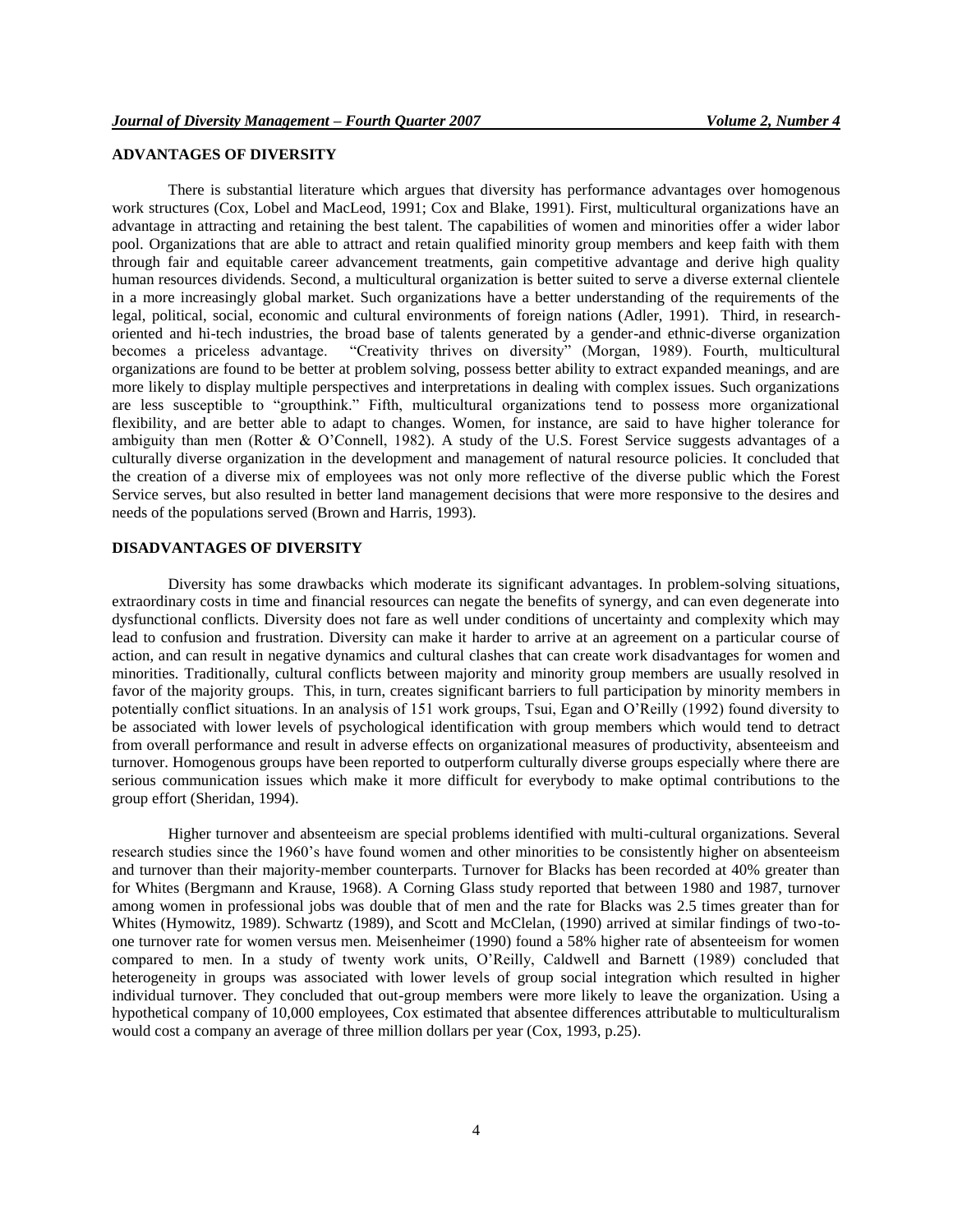# **ADVANTAGES OF DIVERSITY**

There is substantial literature which argues that diversity has performance advantages over homogenous work structures (Cox, Lobel and MacLeod, 1991; Cox and Blake, 1991). First, multicultural organizations have an advantage in attracting and retaining the best talent. The capabilities of women and minorities offer a wider labor pool. Organizations that are able to attract and retain qualified minority group members and keep faith with them through fair and equitable career advancement treatments, gain competitive advantage and derive high quality human resources dividends. Second, a multicultural organization is better suited to serve a diverse external clientele in a more increasingly global market. Such organizations have a better understanding of the requirements of the legal, political, social, economic and cultural environments of foreign nations (Adler, 1991). Third, in researchoriented and hi-tech industries, the broad base of talents generated by a gender-and ethnic-diverse organization becomes a priceless advantage. "Creativity thrives on diversity" (Morgan, 1989). Fourth, multicultural organizations are found to be better at problem solving, possess better ability to extract expanded meanings, and are more likely to display multiple perspectives and interpretations in dealing with complex issues. Such organizations are less susceptible to "groupthink." Fifth, multicultural organizations tend to possess more organizational flexibility, and are better able to adapt to changes. Women, for instance, are said to have higher tolerance for ambiguity than men (Rotter & O'Connell, 1982). A study of the U.S. Forest Service suggests advantages of a culturally diverse organization in the development and management of natural resource policies. It concluded that the creation of a diverse mix of employees was not only more reflective of the diverse public which the Forest Service serves, but also resulted in better land management decisions that were more responsive to the desires and needs of the populations served (Brown and Harris, 1993).

# **DISADVANTAGES OF DIVERSITY**

Diversity has some drawbacks which moderate its significant advantages. In problem-solving situations, extraordinary costs in time and financial resources can negate the benefits of synergy, and can even degenerate into dysfunctional conflicts. Diversity does not fare as well under conditions of uncertainty and complexity which may lead to confusion and frustration. Diversity can make it harder to arrive at an agreement on a particular course of action, and can result in negative dynamics and cultural clashes that can create work disadvantages for women and minorities. Traditionally, cultural conflicts between majority and minority group members are usually resolved in favor of the majority groups. This, in turn, creates significant barriers to full participation by minority members in potentially conflict situations. In an analysis of 151 work groups, Tsui, Egan and O'Reilly (1992) found diversity to be associated with lower levels of psychological identification with group members which would tend to detract from overall performance and result in adverse effects on organizational measures of productivity, absenteeism and turnover. Homogenous groups have been reported to outperform culturally diverse groups especially where there are serious communication issues which make it more difficult for everybody to make optimal contributions to the group effort (Sheridan, 1994).

Higher turnover and absenteeism are special problems identified with multi-cultural organizations. Several research studies since the 1960's have found women and other minorities to be consistently higher on absenteeism and turnover than their majority-member counterparts. Turnover for Blacks has been recorded at 40% greater than for Whites (Bergmann and Krause, 1968). A Corning Glass study reported that between 1980 and 1987, turnover among women in professional jobs was double that of men and the rate for Blacks was 2.5 times greater than for Whites (Hymowitz, 1989). Schwartz (1989), and Scott and McClelan, (1990) arrived at similar findings of two-toone turnover rate for women versus men. Meisenheimer (1990) found a 58% higher rate of absenteeism for women compared to men. In a study of twenty work units, O'Reilly, Caldwell and Barnett (1989) concluded that heterogeneity in groups was associated with lower levels of group social integration which resulted in higher individual turnover. They concluded that out-group members were more likely to leave the organization. Using a hypothetical company of 10,000 employees, Cox estimated that absentee differences attributable to multiculturalism would cost a company an average of three million dollars per year (Cox, 1993, p.25).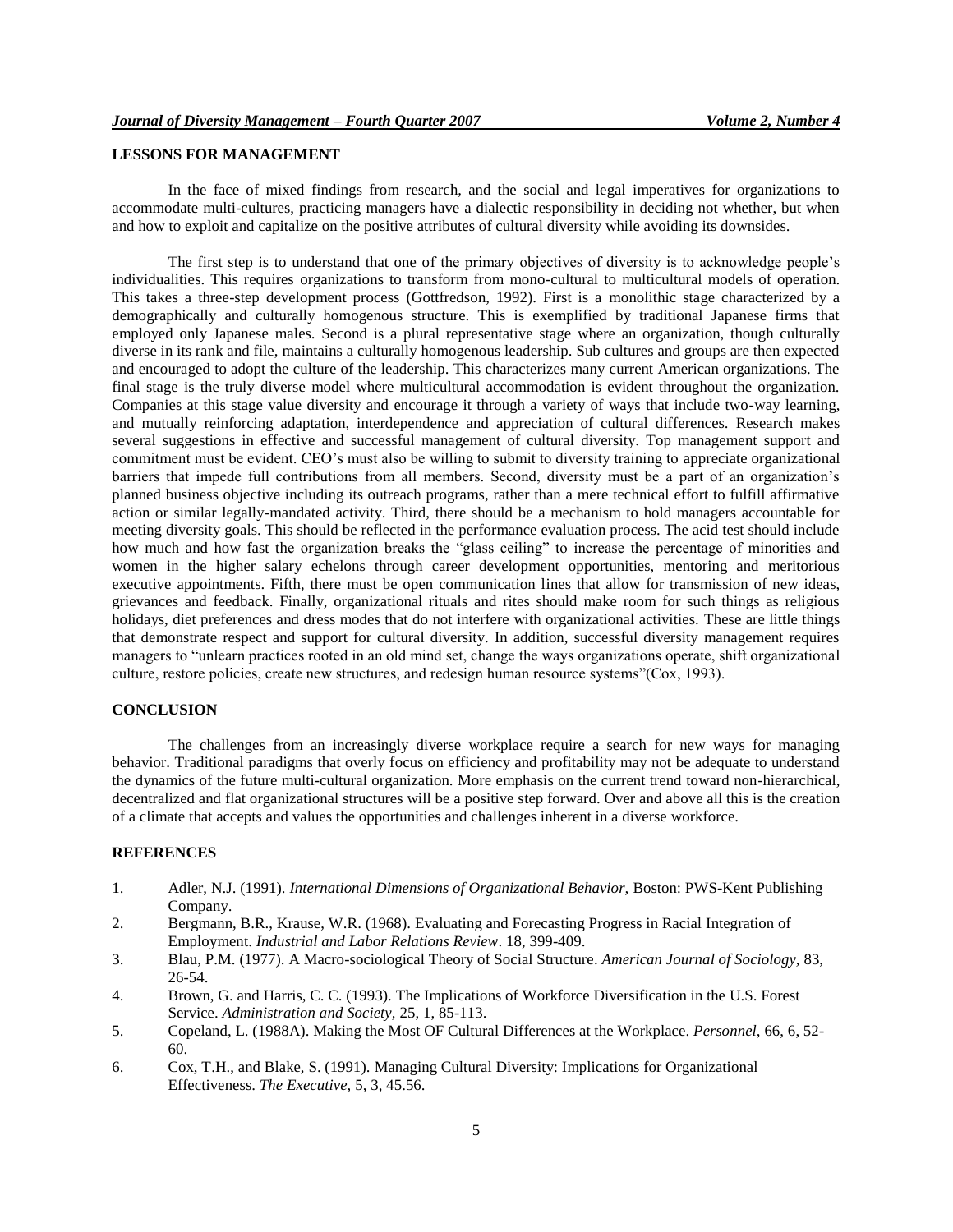# **LESSONS FOR MANAGEMENT**

In the face of mixed findings from research, and the social and legal imperatives for organizations to accommodate multi-cultures, practicing managers have a dialectic responsibility in deciding not whether, but when and how to exploit and capitalize on the positive attributes of cultural diversity while avoiding its downsides.

The first step is to understand that one of the primary objectives of diversity is to acknowledge people's individualities. This requires organizations to transform from mono-cultural to multicultural models of operation. This takes a three-step development process (Gottfredson, 1992). First is a monolithic stage characterized by a demographically and culturally homogenous structure. This is exemplified by traditional Japanese firms that employed only Japanese males. Second is a plural representative stage where an organization, though culturally diverse in its rank and file, maintains a culturally homogenous leadership. Sub cultures and groups are then expected and encouraged to adopt the culture of the leadership. This characterizes many current American organizations. The final stage is the truly diverse model where multicultural accommodation is evident throughout the organization. Companies at this stage value diversity and encourage it through a variety of ways that include two-way learning, and mutually reinforcing adaptation, interdependence and appreciation of cultural differences. Research makes several suggestions in effective and successful management of cultural diversity. Top management support and commitment must be evident. CEO's must also be willing to submit to diversity training to appreciate organizational barriers that impede full contributions from all members. Second, diversity must be a part of an organization's planned business objective including its outreach programs, rather than a mere technical effort to fulfill affirmative action or similar legally-mandated activity. Third, there should be a mechanism to hold managers accountable for meeting diversity goals. This should be reflected in the performance evaluation process. The acid test should include how much and how fast the organization breaks the "glass ceiling" to increase the percentage of minorities and women in the higher salary echelons through career development opportunities, mentoring and meritorious executive appointments. Fifth, there must be open communication lines that allow for transmission of new ideas, grievances and feedback. Finally, organizational rituals and rites should make room for such things as religious holidays, diet preferences and dress modes that do not interfere with organizational activities. These are little things that demonstrate respect and support for cultural diversity. In addition, successful diversity management requires managers to "unlearn practices rooted in an old mind set, change the ways organizations operate, shift organizational culture, restore policies, create new structures, and redesign human resource systems"(Cox, 1993).

### **CONCLUSION**

The challenges from an increasingly diverse workplace require a search for new ways for managing behavior. Traditional paradigms that overly focus on efficiency and profitability may not be adequate to understand the dynamics of the future multi-cultural organization. More emphasis on the current trend toward non-hierarchical, decentralized and flat organizational structures will be a positive step forward. Over and above all this is the creation of a climate that accepts and values the opportunities and challenges inherent in a diverse workforce.

# **REFERENCES**

- 1. Adler, N.J. (1991). *International Dimensions of Organizational Behavior,* Boston: PWS-Kent Publishing Company.
- 2. Bergmann, B.R., Krause, W.R. (1968). Evaluating and Forecasting Progress in Racial Integration of Employment. *Industrial and Labor Relations Review*. 18, 399-409.
- 3. Blau, P.M. (1977). A Macro-sociological Theory of Social Structure. *American Journal of Sociology,* 83, 26-54.
- 4. Brown, G. and Harris, C. C. (1993). The Implications of Workforce Diversification in the U.S. Forest Service. *Administration and Society,* 25, 1, 85-113.
- 5. Copeland, L. (1988A). Making the Most OF Cultural Differences at the Workplace. *Personnel,* 66, 6, 52- 60.
- 6. Cox, T.H., and Blake, S. (1991). Managing Cultural Diversity: Implications for Organizational Effectiveness. *The Executive,* 5, 3, 45.56.